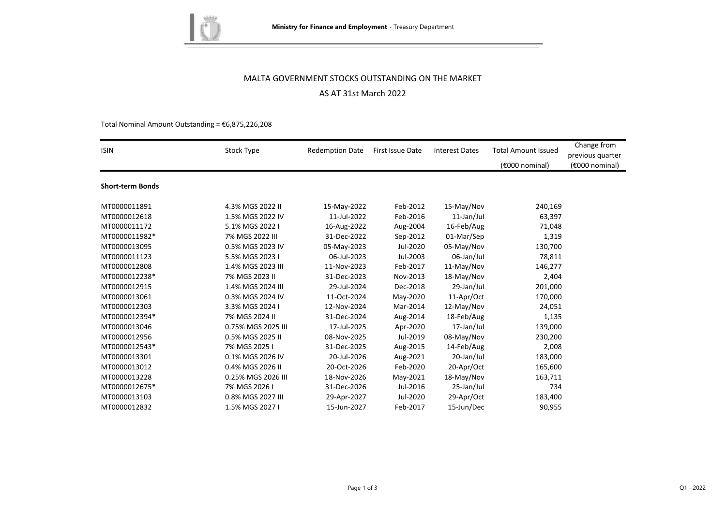

# MALTA GOVERNMENT STOCKS OUTSTANDING ON THE MARKET AS AT 31st March 2022

#### Total Nominal Amount Outstanding =  $€6,875,226,208$

| <b>ISIN</b>             | Stock Type         | <b>Redemption Date</b> | First Issue Date | <b>Interest Dates</b> | <b>Total Amount Issued</b> | Change from<br>previous quarter |
|-------------------------|--------------------|------------------------|------------------|-----------------------|----------------------------|---------------------------------|
|                         |                    |                        |                  |                       | (€000 nominal)             | (€000 nominal)                  |
| <b>Short-term Bonds</b> |                    |                        |                  |                       |                            |                                 |
| MT0000011891            | 4.3% MGS 2022 II   | 15-May-2022            | Feb-2012         | 15-May/Nov            | 240,169                    |                                 |
| MT0000012618            | 1.5% MGS 2022 IV   | 11-Jul-2022            | Feb-2016         | 11-Jan/Jul            | 63,397                     |                                 |
| MT0000011172            | 5.1% MGS 2022 I    | 16-Aug-2022            | Aug-2004         | 16-Feb/Aug            | 71,048                     |                                 |
| MT0000011982*           | 7% MGS 2022 III    | 31-Dec-2022            | Sep-2012         | 01-Mar/Sep            | 1,319                      |                                 |
| MT0000013095            | 0.5% MGS 2023 IV   | 05-May-2023            | Jul-2020         | 05-May/Nov            | 130,700                    |                                 |
| MT0000011123            | 5.5% MGS 2023 I    | 06-Jul-2023            | Jul-2003         | 06-Jan/Jul            | 78,811                     |                                 |
| MT0000012808            | 1.4% MGS 2023 III  | 11-Nov-2023            | Feb-2017         | 11-May/Nov            | 146,277                    |                                 |
| MT0000012238*           | 7% MGS 2023 II     | 31-Dec-2023            | Nov-2013         | 18-May/Nov            | 2,404                      |                                 |
| MT0000012915            | 1.4% MGS 2024 III  | 29-Jul-2024            | Dec-2018         | 29-Jan/Jul            | 201,000                    |                                 |
| MT0000013061            | 0.3% MGS 2024 IV   | 11-Oct-2024            | May-2020         | 11-Apr/Oct            | 170,000                    |                                 |
| MT0000012303            | 3.3% MGS 2024 I    | 12-Nov-2024            | Mar-2014         | 12-May/Nov            | 24,051                     |                                 |
| MT0000012394*           | 7% MGS 2024 II     | 31-Dec-2024            | Aug-2014         | 18-Feb/Aug            | 1,135                      |                                 |
| MT0000013046            | 0.75% MGS 2025 III | 17-Jul-2025            | Apr-2020         | 17-Jan/Jul            | 139,000                    |                                 |
| MT0000012956            | 0.5% MGS 2025 II   | 08-Nov-2025            | Jul-2019         | 08-May/Nov            | 230,200                    |                                 |
| MT0000012543*           | 7% MGS 2025 I      | 31-Dec-2025            | Aug-2015         | 14-Feb/Aug            | 2,008                      |                                 |
| MT0000013301            | 0.1% MGS 2026 IV   | 20-Jul-2026            | Aug-2021         | 20-Jan/Jul            | 183,000                    |                                 |
| MT0000013012            | 0.4% MGS 2026 II   | 20-Oct-2026            | Feb-2020         | 20-Apr/Oct            | 165,600                    |                                 |
| MT0000013228            | 0.25% MGS 2026 III | 18-Nov-2026            | May-2021         | 18-May/Nov            | 163,711                    |                                 |
| MT0000012675*           | 7% MGS 2026 I      | 31-Dec-2026            | Jul-2016         | 25-Jan/Jul            | 734                        |                                 |
| MT0000013103            | 0.8% MGS 2027 III  | 29-Apr-2027            | Jul-2020         | 29-Apr/Oct            | 183,400                    |                                 |
| MT0000012832            | 1.5% MGS 2027 I    | 15-Jun-2027            | Feb-2017         | 15-Jun/Dec            | 90,955                     |                                 |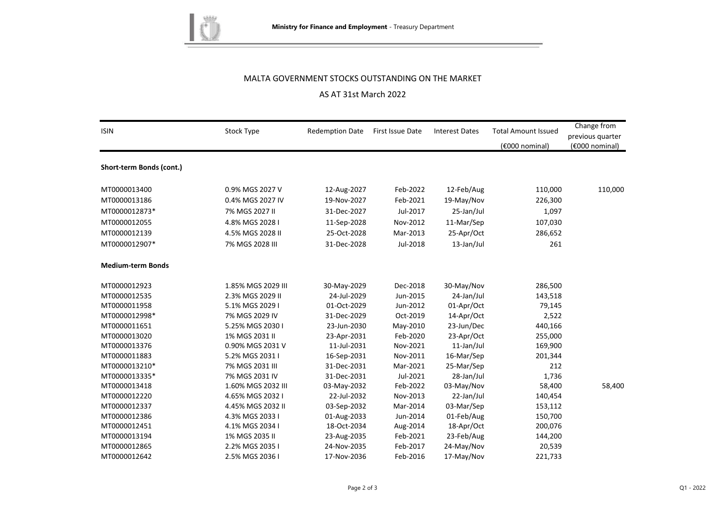

### MALTA GOVERNMENT STOCKS OUTSTANDING ON THE MARKET

## AS AT 31st March 2022

| <b>ISIN</b>              | Stock Type         | <b>Redemption Date</b> | First Issue Date | <b>Interest Dates</b> | <b>Total Amount Issued</b> | Change from<br>previous quarter |
|--------------------------|--------------------|------------------------|------------------|-----------------------|----------------------------|---------------------------------|
|                          |                    |                        |                  |                       | (€000 nominal)             | (€000 nominal)                  |
| Short-term Bonds (cont.) |                    |                        |                  |                       |                            |                                 |
| MT0000013400             | 0.9% MGS 2027 V    | 12-Aug-2027            | Feb-2022         | 12-Feb/Aug            | 110,000                    | 110,000                         |
| MT0000013186             | 0.4% MGS 2027 IV   | 19-Nov-2027            | Feb-2021         | 19-May/Nov            | 226,300                    |                                 |
| MT0000012873*            | 7% MGS 2027 II     | 31-Dec-2027            | Jul-2017         | 25-Jan/Jul            | 1,097                      |                                 |
| MT0000012055             | 4.8% MGS 2028 I    | 11-Sep-2028            | Nov-2012         | 11-Mar/Sep            | 107,030                    |                                 |
| MT0000012139             | 4.5% MGS 2028 II   | 25-Oct-2028            | Mar-2013         | 25-Apr/Oct            | 286,652                    |                                 |
| MT0000012907*            | 7% MGS 2028 III    | 31-Dec-2028            | Jul-2018         | 13-Jan/Jul            | 261                        |                                 |
| <b>Medium-term Bonds</b> |                    |                        |                  |                       |                            |                                 |
| MT0000012923             | 1.85% MGS 2029 III | 30-May-2029            | Dec-2018         | 30-May/Nov            | 286,500                    |                                 |
| MT0000012535             | 2.3% MGS 2029 II   | 24-Jul-2029            | Jun-2015         | 24-Jan/Jul            | 143,518                    |                                 |
| MT0000011958             | 5.1% MGS 2029 I    | 01-Oct-2029            | Jun-2012         | 01-Apr/Oct            | 79,145                     |                                 |
| MT0000012998*            | 7% MGS 2029 IV     | 31-Dec-2029            | Oct-2019         | 14-Apr/Oct            | 2,522                      |                                 |
| MT0000011651             | 5.25% MGS 2030 I   | 23-Jun-2030            | May-2010         | 23-Jun/Dec            | 440,166                    |                                 |
| MT0000013020             | 1% MGS 2031 II     | 23-Apr-2031            | Feb-2020         | 23-Apr/Oct            | 255,000                    |                                 |
| MT0000013376             | 0.90% MGS 2031 V   | 11-Jul-2031            | Nov-2021         | 11-Jan/Jul            | 169,900                    |                                 |
| MT0000011883             | 5.2% MGS 2031 I    | 16-Sep-2031            | Nov-2011         | 16-Mar/Sep            | 201,344                    |                                 |
| MT0000013210*            | 7% MGS 2031 III    | 31-Dec-2031            | Mar-2021         | 25-Mar/Sep            | 212                        |                                 |
| MT0000013335*            | 7% MGS 2031 IV     | 31-Dec-2031            | Jul-2021         | 28-Jan/Jul            | 1,736                      |                                 |
| MT0000013418             | 1.60% MGS 2032 III | 03-May-2032            | Feb-2022         | 03-May/Nov            | 58,400                     | 58,400                          |
| MT0000012220             | 4.65% MGS 2032 I   | 22-Jul-2032            | Nov-2013         | 22-Jan/Jul            | 140,454                    |                                 |
| MT0000012337             | 4.45% MGS 2032 II  | 03-Sep-2032            | Mar-2014         | 03-Mar/Sep            | 153,112                    |                                 |
| MT0000012386             | 4.3% MGS 2033 I    | 01-Aug-2033            | Jun-2014         | 01-Feb/Aug            | 150,700                    |                                 |
| MT0000012451             | 4.1% MGS 2034 I    | 18-Oct-2034            | Aug-2014         | 18-Apr/Oct            | 200,076                    |                                 |
| MT0000013194             | 1% MGS 2035 II     | 23-Aug-2035            | Feb-2021         | 23-Feb/Aug            | 144,200                    |                                 |
| MT0000012865             | 2.2% MGS 2035 I    | 24-Nov-2035            | Feb-2017         | 24-May/Nov            | 20,539                     |                                 |
| MT0000012642             | 2.5% MGS 2036 I    | 17-Nov-2036            | Feb-2016         | 17-May/Nov            | 221,733                    |                                 |